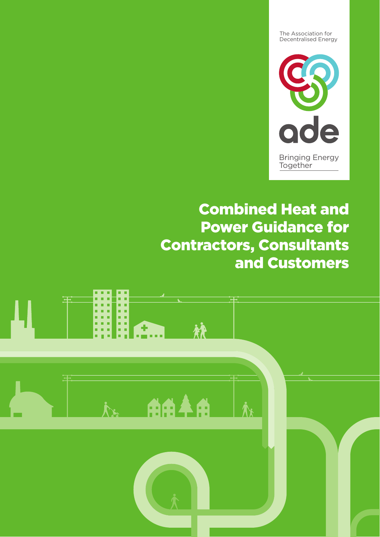The Association for Decentralised Energy



# Combined Heat and Power Guidance for Contractors, Consultants and Customers

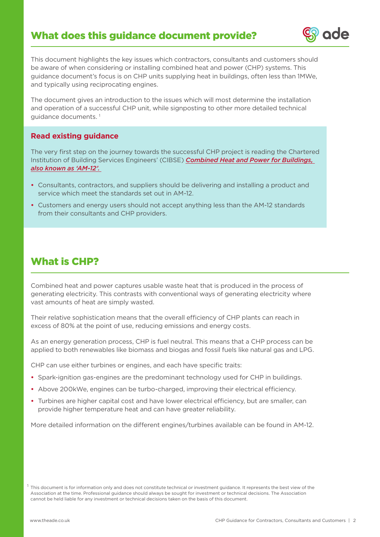

Bringing Energy

This document highlights the key issues which contractors, consultants and customers should be aware of when considering or installing combined heat and power (CHP) systems. This guidance document's focus is on CHP units supplying heat in buildings, often less than 1MWe, and typically using reciprocating engines.

The document gives an introduction to the issues which will most determine the installation and operation of a successful CHP unit, while signposting to other more detailed technical quidance documents.<sup>1</sup>

#### **Read existing guidance**

The very first step on the journey towards the successful CHP project is reading the Chartered Institution of Building Services Engineers' (CIBSE) *Combined Heat and Power for Buildings, also known as 'AM-12'.* 

- **•** Consultants, contractors, and suppliers should be delivering and installing a product and service which meet the standards set out in AM-12.
- **•** Customers and energy users should not accept anything less than the AM-12 standards from their consultants and CHP providers.

## What is CHP?

Combined heat and power captures usable waste heat that is produced in the process of generating electricity. This contrasts with conventional ways of generating electricity where vast amounts of heat are simply wasted.

Their relative sophistication means that the overall efficiency of CHP plants can reach in excess of 80% at the point of use, reducing emissions and energy costs.

As an energy generation process, CHP is fuel neutral. This means that a CHP process can be applied to both renewables like biomass and biogas and fossil fuels like natural gas and LPG.

CHP can use either turbines or engines, and each have specific traits:

- **•** Spark-ignition gas-engines are the predominant technology used for CHP in buildings.
- **•** Above 200kWe, engines can be turbo-charged, improving their electrical efficiency.
- **•** Turbines are higher capital cost and have lower electrical efficiency, but are smaller, can provide higher temperature heat and can have greater reliability.

More detailed information on the different engines/turbines available can be found in AM-12.

 $^1$  This document is for information only and does not constitute technical or investment guidance. It represents the best view of the Association at the time. Professional guidance should always be sought for investment or technical decisions. The Association cannot be held liable for any investment or technical decisions taken on the basis of this document.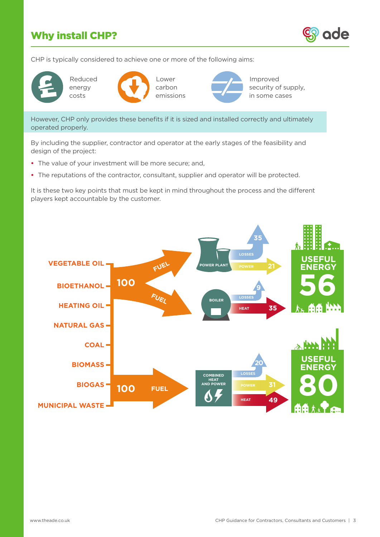# Why install CHP?



CHP is typically considered to achieve one or more of the following aims:





Lower carbon emissions



Improved security of supply, in some cases

However, CHP only provides these benefits if it is sized and installed correctly and ultimately operated properly.

By including the supplier, contractor and operator at the early stages of the feasibility and design of the project:

- **•** The value of your investment will be more secure; and,
- **•** The reputations of the contractor, consultant, supplier and operator will be protected.

It is these two key points that must be kept in mind throughout the process and the different players kept accountable by the customer.

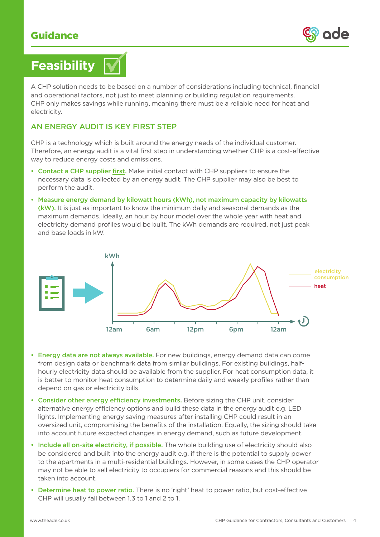

# **Feasibility**

A CHP solution needs to be based on a number of considerations including technical, financial and operational factors, not just to meet planning or building regulation requirements. CHP only makes savings while running, meaning there must be a reliable need for heat and electricity.

#### AN ENERGY AUDIT IS KEY FIRST STEP

CHP is a technology which is built around the energy needs of the individual customer. Therefore, an energy audit is a vital first step in understanding whether CHP is a cost-effective way to reduce energy costs and emissions.

- Contact a CHP supplier first. Make initial contact with CHP suppliers to ensure the necessary data is collected by an energy audit. The CHP supplier may also be best to perform the audit.
- Measure energy demand by kilowatt hours (kWh), not maximum capacity by kilowatts (kW). It is just as important to know the minimum daily and seasonal demands as the maximum demands. Ideally, an hour by hour model over the whole year with heat and electricity demand profiles would be built. The kWh demands are required, not just peak and base loads in kW.



- Energy data are not always available. For new buildings, energy demand data can come from design data or benchmark data from similar buildings. For existing buildings, halfhourly electricity data should be available from the supplier. For heat consumption data, it is better to monitor heat consumption to determine daily and weekly profiles rather than depend on gas or electricity bills.
- Consider other energy efficiency investments. Before sizing the CHP unit, consider alternative energy efficiency options and build these data in the energy audit e.g. LED lights. Implementing energy saving measures after installing CHP could result in an oversized unit, compromising the benefits of the installation. Equally, the sizing should take into account future expected changes in energy demand, such as future development.
- Include all on-site electricity, if possible. The whole building use of electricity should also be considered and built into the energy audit e.g. if there is the potential to supply power to the apartments in a multi-residential buildings. However, in some cases the CHP operator may not be able to sell electricity to occupiers for commercial reasons and this should be taken into account.
- Determine heat to power ratio. There is no 'right' heat to power ratio, but cost-effective CHP will usually fall between 1.3 to 1 and 2 to 1.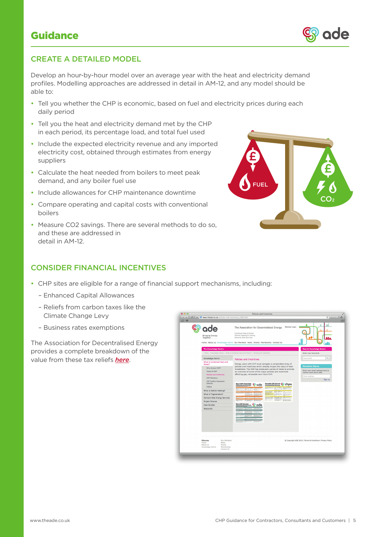

Develop an hour-by-hour model over an average year with the heat and electricity demand profiles. Modelling approaches are addressed in detail in AM-12, and any model should be able to:

- Tell you whether the CHP is economic, based on fuel and electricity prices during each daily period
- Tell you the heat and electricity demand met by the CHP in each period, its percentage load, and total fuel used
- Include the expected electricity revenue and any imported electricity cost, obtained through estimates from energy suppliers
- Calculate the heat needed from boilers to meet peak demand, and any boiler fuel use
- Include allowances for CHP maintenance downtime
- Compare operating and capital costs with conventional boilers
- Measure CO2 savings. There are several methods to do so, and these are addressed in detail in AM-12.



#### CONSIDER FINANCIAL INCENTIVES

- CHP sites are eligible for a range of financial support mechanisms, including:
	- Enhanced Capital Allowances
	- Reliefs from carbon taxes like the Climate Change Levy
	- Business rates exemptions

The Association for Decentralised Energy provides a complete breakdown of the value from these tax reliefs *here*.



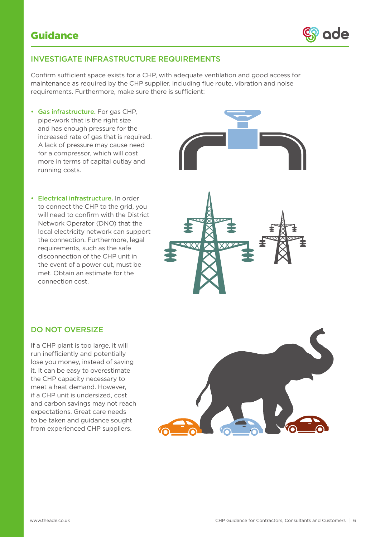

#### INVESTIGATE INFRASTRUCTURE REQUIREMENTS

Confirm sufficient space exists for a CHP, with adequate ventilation and good access for maintenance as required by the CHP supplier, including flue route, vibration and noise requirements. Furthermore, make sure there is sufficient:

- Gas infrastructure. For gas CHP, pipe-work that is the right size and has enough pressure for the increased rate of gas that is required. A lack of pressure may cause need for a compressor, which will cost more in terms of capital outlay and running costs.
- Electrical infrastructure. In order to connect the CHP to the grid, you will need to confirm with the District Network Operator (DNO) that the local electricity network can support the connection. Furthermore, legal requirements, such as the safe disconnection of the CHP unit in the event of a power cut, must be met. Obtain an estimate for the connection cost.





#### DO NOT OVERSIZE

If a CHP plant is too large, it will run inefficiently and potentially lose you money, instead of saving it. It can be easy to overestimate the CHP capacity necessary to meet a heat demand. However, if a CHP unit is undersized, cost and carbon savings may not reach expectations. Great care needs to be taken and guidance sought from experienced CHP suppliers.

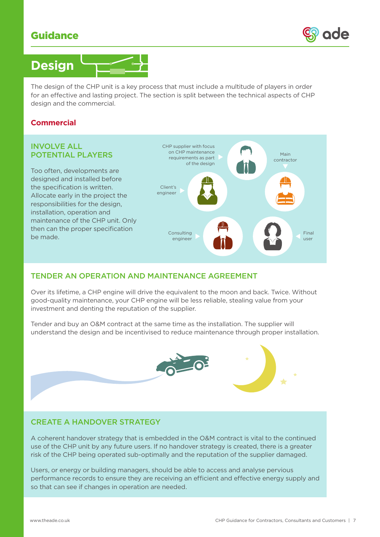



The design of the CHP unit is a key process that must include a multitude of players in order for an effective and lasting project. The section is split between the technical aspects of CHP design and the commercial.

#### **Commercial**

#### INVOLVE ALL POTENTIAL PLAYERS

Too often, developments are designed and installed before the specification is written. Allocate early in the project the responsibilities for the design, installation, operation and maintenance of the CHP unit. Only then can the proper specification be made.



#### TENDER AN OPERATION AND MAINTENANCE AGREEMENT

Over its lifetime, a CHP engine will drive the equivalent to the moon and back. Twice. Without good-quality maintenance, your CHP engine will be less reliable, stealing value from your investment and denting the reputation of the supplier.

Tender and buy an O&M contract at the same time as the installation. The supplier will understand the design and be incentivised to reduce maintenance through proper installation.



#### CREATE A HANDOVER STRATEGY

A coherent handover strategy that is embedded in the O&M contract is vital to the continued use of the CHP unit by any future users. If no handover strategy is created, there is a greater risk of the CHP being operated sub-optimally and the reputation of the supplier damaged.

Users, or energy or building managers, should be able to access and analyse pervious performance records to ensure they are receiving an efficient and effective energy supply and so that can see if changes in operation are needed.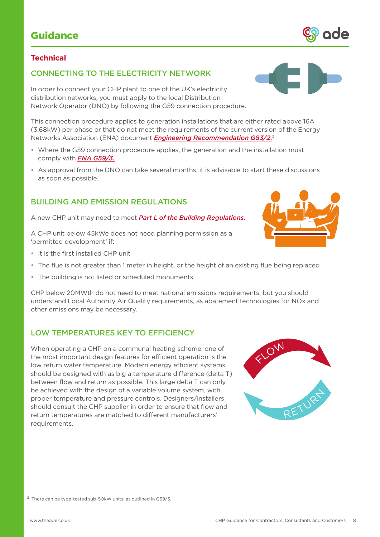### **Technical**

### CONNECTING TO THE ELECTRICITY NETWORK

In order to connect your CHP plant to one of the UK's electricity distribution networks, you must apply to the local Distribution Network Operator (DNO) by following the G59 connection procedure.

This connection procedure applies to generation installations that are either rated above 16A (3.68kW) per phase or that do not meet the requirements of the current version of the Energy Networks Association (ENA) document *Engineering Recommendation G83/2.*<sup>2</sup>

- Where the G59 connection procedure applies, the generation and the installation must comply with *ENA G59/3.*
- As approval from the DNO can take several months, it is advisable to start these discussions as soon as possible.

#### BUILDING AND EMISSION REGULATIONS

A new CHP unit may need to meet *Part L of the Building Regulations.* 

A CHP unit below 45kWe does not need planning permission as a 'permitted development' if:

- It is the first installed CHP unit
- The flue is not greater than 1 meter in height, or the height of an existing flue being replaced
- The building is not listed or scheduled monuments

CHP below 20MWth do not need to meet national emissions requirements, but you should understand Local Authority Air Quality requirements, as abatement technologies for NOx and other emissions may be necessary.

#### LOW TEMPERATURES KEY TO EFFICIENCY

When operating a CHP on a communal heating scheme, one of the most important design features for efficient operation is the low return water temperature. Modern energy efficient systems should be designed with as big a temperature difference (delta T) between flow and return as possible. This large delta T can only be achieved with the design of a variable volume system, with proper temperature and pressure controls. Designers/installers should consult the CHP supplier in order to ensure that flow and return temperatures are matched to different manufacturers' requirements.

2 There can be type-tested sub-50kW units, as outlined in G59/3.







Bringing Energy

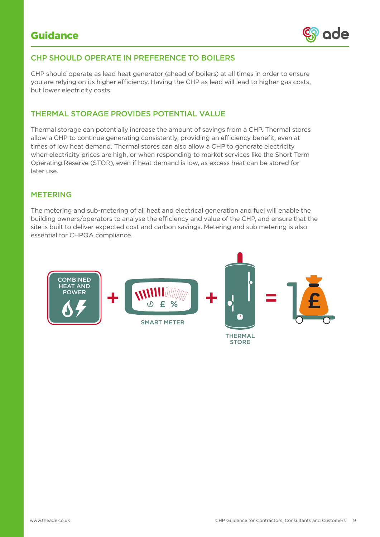

Bringing Energy

### CHP SHOULD OPERATE IN PREFERENCE TO BOILERS

CHP should operate as lead heat generator (ahead of boilers) at all times in order to ensure you are relying on its higher efficiency. Having the CHP as lead will lead to higher gas costs, but lower electricity costs.

### THERMAL STORAGE PROVIDES POTENTIAL VALUE

Thermal storage can potentially increase the amount of savings from a CHP. Thermal stores allow a CHP to continue generating consistently, providing an efficiency benefit, even at times of low heat demand. Thermal stores can also allow a CHP to generate electricity when electricity prices are high, or when responding to market services like the Short Term Operating Reserve (STOR), even if heat demand is low, as excess heat can be stored for later use.

#### METERING

The metering and sub-metering of all heat and electrical generation and fuel will enable the building owners/operators to analyse the efficiency and value of the CHP, and ensure that the site is built to deliver expected cost and carbon savings. Metering and sub metering is also essential for CHPQA compliance.



**STORE**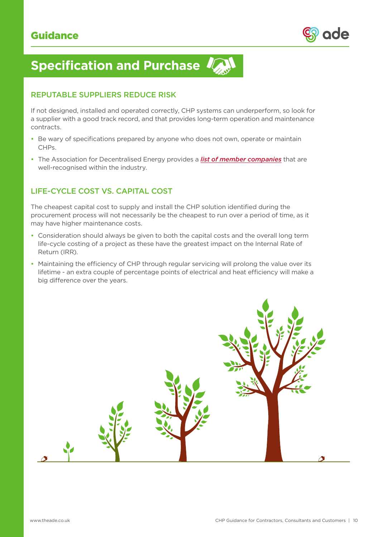

Bringing Energy

# **Specification and Purchase**

#### REPUTABLE SUPPLIERS REDUCE RISK

If not designed, installed and operated correctly, CHP systems can underperform, so look for a supplier with a good track record, and that provides long-term operation and maintenance contracts.

- Be wary of specifications prepared by anyone who does not own, operate or maintain CHPs.
- The Association for Decentralised Energy provides a *list of member companies* that are well-recognised within the industry.

## LIFE-CYCLE COST VS. CAPITAL COST

The cheapest capital cost to supply and install the CHP solution identified during the procurement process will not necessarily be the cheapest to run over a period of time, as it may have higher maintenance costs.

- Consideration should always be given to both the capital costs and the overall long term life-cycle costing of a project as these have the greatest impact on the Internal Rate of Return (IRR).
- Maintaining the efficiency of CHP through regular servicing will prolong the value over its lifetime - an extra couple of percentage points of electrical and heat efficiency will make a big difference over the years.

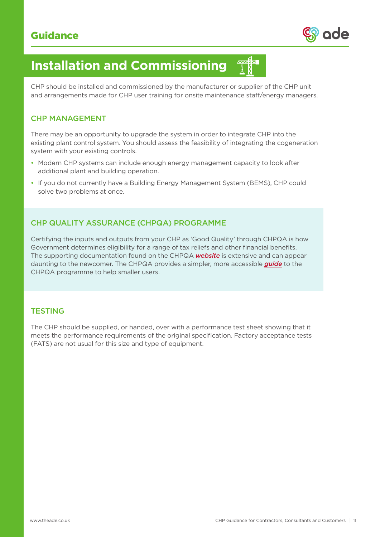

# **Installation and Commissioning**

CHP should be installed and commissioned by the manufacturer or supplier of the CHP unit and arrangements made for CHP user training for onsite maintenance staff/energy managers.

#### CHP MANAGEMENT

There may be an opportunity to upgrade the system in order to integrate CHP into the existing plant control system. You should assess the feasibility of integrating the cogeneration system with your existing controls.

- Modern CHP systems can include enough energy management capacity to look after additional plant and building operation.
- If you do not currently have a Building Energy Management System (BEMS), CHP could solve two problems at once.

## CHP QUALITY ASSURANCE (CHPQA) PROGRAMME

Certifying the inputs and outputs from your CHP as 'Good Quality' through CHPQA is how Government determines eligibility for a range of tax reliefs and other financial benefits. The supporting documentation found on the CHPQA *website* is extensive and can appear daunting to the newcomer. The CHPQA provides a simpler, more accessible *guide* to the CHPQA programme to help smaller users.

### **TESTING**

The CHP should be supplied, or handed, over with a performance test sheet showing that it meets the performance requirements of the original specification. Factory acceptance tests (FATS) are not usual for this size and type of equipment.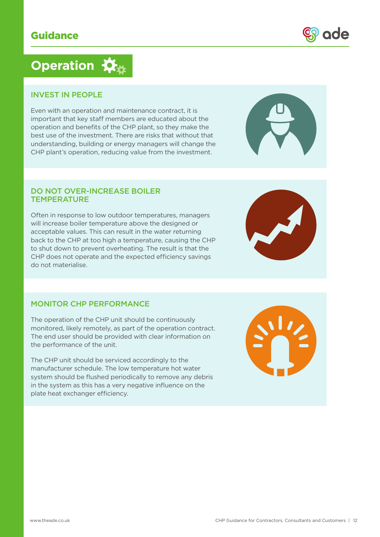# **Operation**

#### INVEST IN PEOPLE

Even with an operation and maintenance contract, it is important that key staff members are educated about the operation and benefits of the CHP plant, so they make the best use of the investment. There are risks that without that understanding, building or energy managers will change the CHP plant's operation, reducing value from the investment.

#### DO NOT OVER-INCREASE BOILER **TEMPERATURE**

Often in response to low outdoor temperatures, managers will increase boiler temperature above the designed or acceptable values. This can result in the water returning back to the CHP at too high a temperature, causing the CHP to shut down to prevent overheating. The result is that the CHP does not operate and the expected efficiency savings do not materialise.

## MONITOR CHP PERFORMANCE

The operation of the CHP unit should be continuously monitored, likely remotely, as part of the operation contract. The end user should be provided with clear information on the performance of the unit.

The CHP unit should be serviced accordingly to the manufacturer schedule. The low temperature hot water system should be flushed periodically to remove any debris in the system as this has a very negative influence on the plate heat exchanger efficiency.